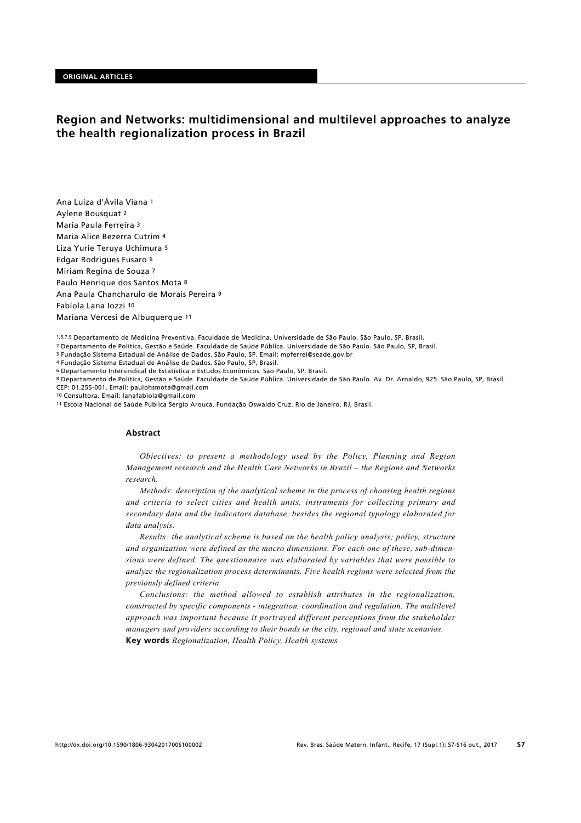# **Region and Networks: multidimensional and multilevel approaches to analyze the health regionalization process in Brazil**

Ana Luiza d'Ávila Viana 1 Aylene Bousquat 2 Maria Paula Ferreira 3 Maria Alice Bezerra Cutrim 4 Liza Yurie Teruya Uchimura 5 Edgar Rodrigues Fusaro 6 Miriam Regina de Souza 7 Paulo Henrique dos Santos Mota 8 Ana Paula Chancharulo de Morais Pereira 9 Fabíola Lana Iozzi 10 Mariana Vercesi de Albuquerque 11

1,5,7,9 Departamento de Medicina Preventiva. Faculdade de Medicina. Universidade de São Paulo. São Paulo, SP, Brasil.

2 Departamento de Política, Gestão e Saúde. Faculdade de Saúde Pública. Universidade de São Paulo. São Paulo, SP, Brasil.

3 Fundação Sistema Estadual de Análise de Dados. São Paulo, SP. Email: mpferrei@seade.gov.br

4 Fundação Sistema Estadual de Análise de Dados. São Paulo, SP, Brasil.

6 Departamento Intersindical de Estatística e Estudos Econômicos. São Paulo, SP, Brasil.

8 Departamento de Política, Gestão e Saúde. Faculdade de Saúde Pública. Universidade de São Paulo. Av. Dr. Arnaldo, 925. São Paulo, SP, Brasil. CEP: 01.255-001. Email: paulohsmota@gmail.com

10 Consultora. Email: lanafabiola@gmail.com

11 Escola Nacional de Saúde Pública Sergio Arouca. Fundação Oswaldo Cruz. Rio de Janeiro, RJ, Brasil.

### **Abstract**

*Objectives: to present a methodology used by the Policy, Planning and Region Management research and the Health Care Networks in Brazil – the Regions and Networks research.*

*Methods: description of the analytical scheme in the process of choosing health regions and criteria to select cities and health units, instruments for collecting primary and secondary data and the indicators database, besides the regional typology elaborated for data analysis.* 

*Results: the analytical scheme is based on the health policy analysis; policy, structure and organization were defined as the macro dimensions. For each one of these, sub-dimensions were defined. The questionnaire was elaborated by variables that were possible to analyze the regionalization process determinants. Five health regions were selected from the previously defined criteria.*

*Conclusions: the method allowed to establish attributes in the regionalization, constructed by specific components - integration, coordination and regulation. The multilevel approach was important because it portrayed different perceptions from the stakeholder managers and providers according to their bonds in the city, regional and state scenarios.* **Key words** *Regionalization, Health Policy, Health systems*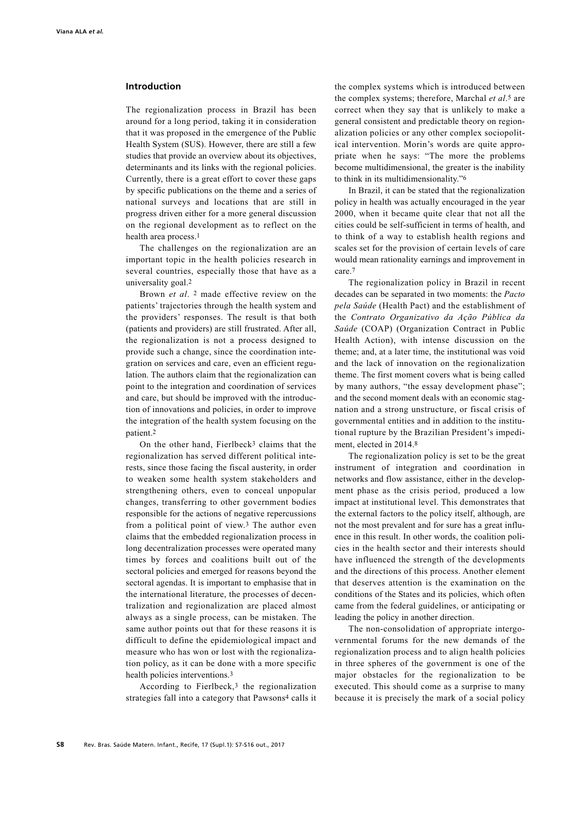### **Introduction**

The regionalization process in Brazil has been around for a long period, taking it in consideration that it was proposed in the emergence of the Public Health System (SUS). However, there are still a few studies that provide an overview about its objectives, determinants and its links with the regional policies. Currently, there is a great effort to cover these gaps by specific publications on the theme and a series of national surveys and locations that are still in progress driven either for a more general discussion on the regional development as to reflect on the health area process.1

The challenges on the regionalization are an important topic in the health policies research in several countries, especially those that have as a universality goal.2

Brown *et al*. 2 made effective review on the patients' trajectories through the health system and the providers' responses. The result is that both (patients and providers) are still frustrated. After all, the regionalization is not a process designed to provide such a change, since the coordination integration on services and care, even an efficient regulation. The authors claim that the regionalization can point to the integration and coordination of services and care, but should be improved with the introduction of innovations and policies, in order to improve the integration of the health system focusing on the patient.2

On the other hand, Fierlbeck3 claims that the regionalization has served different political interests, since those facing the fiscal austerity, in order to weaken some health system stakeholders and strengthening others, even to conceal unpopular changes, transferring to other government bodies responsible for the actions of negative repercussions from a political point of view.3 The author even claims that the embedded regionalization process in long decentralization processes were operated many times by forces and coalitions built out of the sectoral policies and emerged for reasons beyond the sectoral agendas. It is important to emphasise that in the international literature, the processes of decentralization and regionalization are placed almost always as a single process, can be mistaken. The same author points out that for these reasons it is difficult to define the epidemiological impact and measure who has won or lost with the regionalization policy, as it can be done with a more specific health policies interventions.3

According to Fierlbeck,3 the regionalization strategies fall into a category that Pawsons4 calls it

the complex systems which is introduced between the complex systems; therefore, Marchal *et al*.5 are correct when they say that is unlikely to make a general consistent and predictable theory on regionalization policies or any other complex sociopolitical intervention. Morin's words are quite appropriate when he says: "The more the problems become multidimensional, the greater is the inability to think in its multidimensionality."6

In Brazil, it can be stated that the regionalization policy in health was actually encouraged in the year 2000, when it became quite clear that not all the cities could be self-sufficient in terms of health, and to think of a way to establish health regions and scales set for the provision of certain levels of care would mean rationality earnings and improvement in care.7

The regionalization policy in Brazil in recent decades can be separated in two moments: the *Pacto pela Saúde* (Health Pact) and the establishment of the *Contrato Organizativo da Ação Pública da Saúde* (COAP) (Organization Contract in Public Health Action), with intense discussion on the theme; and, at a later time, the institutional was void and the lack of innovation on the regionalization theme. The first moment covers what is being called by many authors, "the essay development phase"; and the second moment deals with an economic stagnation and a strong unstructure, or fiscal crisis of governmental entities and in addition to the institutional rupture by the Brazilian President's impediment, elected in 2014.8

The regionalization policy is set to be the great instrument of integration and coordination in networks and flow assistance, either in the development phase as the crisis period, produced a low impact at institutional level. This demonstrates that the external factors to the policy itself, although, are not the most prevalent and for sure has a great influence in this result. In other words, the coalition policies in the health sector and their interests should have influenced the strength of the developments and the directions of this process. Another element that deserves attention is the examination on the conditions of the States and its policies, which often came from the federal guidelines, or anticipating or leading the policy in another direction.

The non-consolidation of appropriate intergovernmental forums for the new demands of the regionalization process and to align health policies in three spheres of the government is one of the major obstacles for the regionalization to be executed. This should come as a surprise to many because it is precisely the mark of a social policy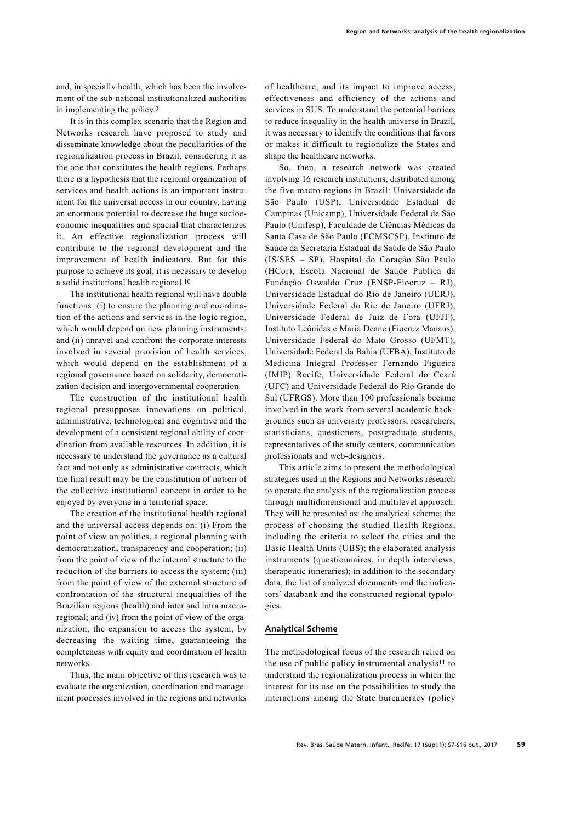and, in specially health, which has been the involvement of the sub-national institutionalized authorities in implementing the policy.9

It is in this complex scenario that the Region and Networks research have proposed to study and disseminate knowledge about the peculiarities of the regionalization process in Brazil, considering it as the one that constitutes the health regions. Perhaps there is a hypothesis that the regional organization of services and health actions is an important instrument for the universal access in our country, having an enormous potential to decrease the huge socioeconomic inequalities and spacial that characterizes it. An effective regionalization process will contribute to the regional development and the improvement of health indicators. But for this purpose to achieve its goal, it is necessary to develop a solid institutional health regional.10

The institutional health regional will have double functions: (i) to ensure the planning and coordination of the actions and services in the logic region, which would depend on new planning instruments; and (ii) unravel and confront the corporate interests involved in several provision of health services, which would depend on the establishment of a regional governance based on solidarity, democratization decision and intergovernmental cooperation.

The construction of the institutional health regional presupposes innovations on political, administrative, technological and cognitive and the development of a consistent regional ability of coordination from available resources. In addition, it is necessary to understand the governance as a cultural fact and not only as administrative contracts, which the final result may be the constitution of notion of the collective institutional concept in order to be enjoyed by everyone in a territorial space.

The creation of the institutional health regional and the universal access depends on: (i) From the point of view on politics, a regional planning with democratization, transparency and cooperation; (ii) from the point of view of the internal structure to the reduction of the barriers to access the system; (iii) from the point of view of the external structure of confrontation of the structural inequalities of the Brazilian regions (health) and inter and intra macroregional; and (iv) from the point of view of the organization, the expansion to access the system, by decreasing the waiting time, guaranteeing the completeness with equity and coordination of health networks.

Thus, the main objective of this research was to evaluate the organization, coordination and management processes involved in the regions and networks of healthcare, and its impact to improve access, effectiveness and efficiency of the actions and services in SUS. To understand the potential barriers to reduce inequality in the health universe in Brazil, it was necessary to identify the conditions that favors or makes it difficult to regionalize the States and shape the healthcare networks.

So, then, a research network was created involving 16 research institutions, distributed among the five macro-regions in Brazil: Universidade de São Paulo (USP), Universidade Estadual de Campinas (Unicamp), Universidade Federal de São Paulo (Unifesp), Faculdade de Ciências Médicas da Santa Casa de São Paulo (FCMSCSP), Instituto de Saúde da Secretaria Estadual de Saúde de São Paulo (IS/SES – SP), Hospital do Coração São Paulo (HCor), Escola Nacional de Saúde Pública da Fundação Oswaldo Cruz (ENSP-Fiocruz – RJ), Universidade Estadual do Rio de Janeiro (UERJ), Universidade Federal do Rio de Janeiro (UFRJ), Universidade Federal de Juiz de Fora (UFJF), Instituto Leônidas e Maria Deane (Fiocruz Manaus), Universidade Federal do Mato Grosso (UFMT), Universidade Federal da Bahia (UFBA), Instituto de Medicina Integral Professor Fernando Figueira (IMIP) Recife, Universidade Federal do Ceará (UFC) and Universidade Federal do Rio Grande do Sul (UFRGS). More than 100 professionals became involved in the work from several academic backgrounds such as university professors, researchers, statisticians, questioners, postgraduate students, representatives of the study centers, communication professionals and web-designers.

This article aims to present the methodological strategies used in the Regions and Networks research to operate the analysis of the regionalization process through multidimensional and multilevel approach. They will be presented as: the analytical scheme; the process of choosing the studied Health Regions, including the criteria to select the cities and the Basic Health Units (UBS); the elaborated analysis instruments (questionnaires, in depth interviews, therapeutic itineraries); in addition to the secondary data, the list of analyzed documents and the indicators' databank and the constructed regional typologies.

### **Analytical Scheme**

The methodological focus of the research relied on the use of public policy instrumental analysis11 to understand the regionalization process in which the interest for its use on the possibilities to study the interactions among the State bureaucracy (policy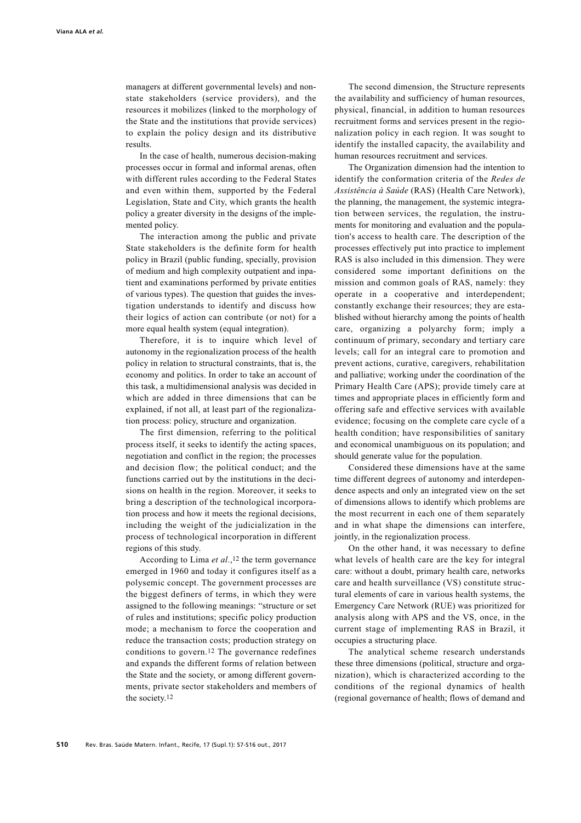managers at different governmental levels) and nonstate stakeholders (service providers), and the resources it mobilizes (linked to the morphology of the State and the institutions that provide services) to explain the policy design and its distributive results.

In the case of health, numerous decision-making processes occur in formal and informal arenas, often with different rules according to the Federal States and even within them, supported by the Federal Legislation, State and City, which grants the health policy a greater diversity in the designs of the implemented policy.

The interaction among the public and private State stakeholders is the definite form for health policy in Brazil (public funding, specially, provision of medium and high complexity outpatient and inpatient and examinations performed by private entities of various types). The question that guides the investigation understands to identify and discuss how their logics of action can contribute (or not) for a more equal health system (equal integration).

Therefore, it is to inquire which level of autonomy in the regionalization process of the health policy in relation to structural constraints, that is, the economy and politics. In order to take an account of this task, a multidimensional analysis was decided in which are added in three dimensions that can be explained, if not all, at least part of the regionalization process: policy, structure and organization.

The first dimension, referring to the political process itself, it seeks to identify the acting spaces, negotiation and conflict in the region; the processes and decision flow; the political conduct; and the functions carried out by the institutions in the decisions on health in the region. Moreover, it seeks to bring a description of the technological incorporation process and how it meets the regional decisions, including the weight of the judicialization in the process of technological incorporation in different regions of this study.

According to Lima *et al.*,12 the term governance emerged in 1960 and today it configures itself as a polysemic concept. The government processes are the biggest definers of terms, in which they were assigned to the following meanings: "structure or set of rules and institutions; specific policy production mode; a mechanism to force the cooperation and reduce the transaction costs; production strategy on conditions to govern.12 The governance redefines and expands the different forms of relation between the State and the society, or among different governments, private sector stakeholders and members of the society.12

The second dimension, the Structure represents the availability and sufficiency of human resources, physical, financial, in addition to human resources recruitment forms and services present in the regionalization policy in each region. It was sought to identify the installed capacity, the availability and human resources recruitment and services.

The Organization dimension had the intention to identify the conformation criteria of the *Redes de Assistência à Saúde* (RAS) (Health Care Network), the planning, the management, the systemic integration between services, the regulation, the instruments for monitoring and evaluation and the population's access to health care. The description of the processes effectively put into practice to implement RAS is also included in this dimension. They were considered some important definitions on the mission and common goals of RAS, namely: they operate in a cooperative and interdependent; constantly exchange their resources; they are established without hierarchy among the points of health care, organizing a polyarchy form; imply a continuum of primary, secondary and tertiary care levels; call for an integral care to promotion and prevent actions, curative, caregivers, rehabilitation and palliative; working under the coordination of the Primary Health Care (APS); provide timely care at times and appropriate places in efficiently form and offering safe and effective services with available evidence; focusing on the complete care cycle of a health condition; have responsibilities of sanitary and economical unambiguous on its population; and should generate value for the population.

Considered these dimensions have at the same time different degrees of autonomy and interdependence aspects and only an integrated view on the set of dimensions allows to identify which problems are the most recurrent in each one of them separately and in what shape the dimensions can interfere, jointly, in the regionalization process.

On the other hand, it was necessary to define what levels of health care are the key for integral care: without a doubt, primary health care, networks care and health surveillance (VS) constitute structural elements of care in various health systems, the Emergency Care Network (RUE) was prioritized for analysis along with APS and the VS, once, in the current stage of implementing RAS in Brazil, it occupies a structuring place.

The analytical scheme research understands these three dimensions (political, structure and organization), which is characterized according to the conditions of the regional dynamics of health (regional governance of health; flows of demand and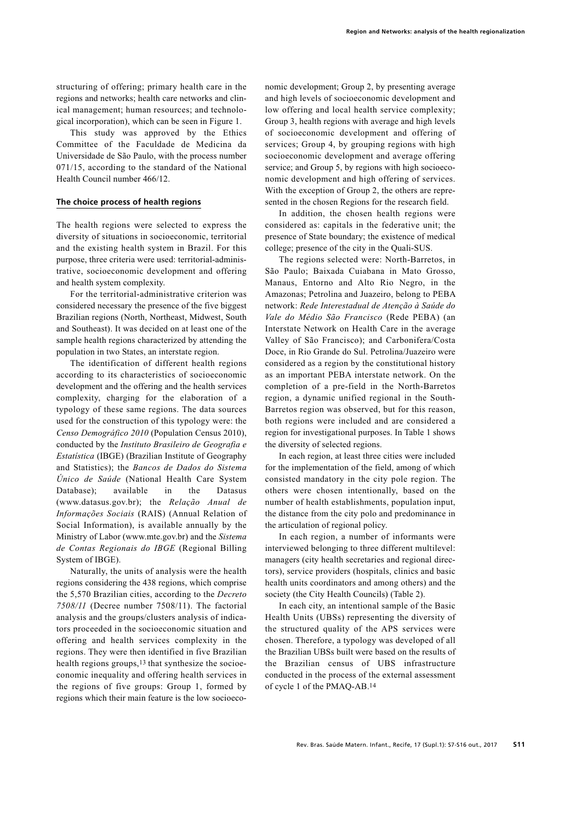structuring of offering; primary health care in the regions and networks; health care networks and clinical management; human resources; and technological incorporation), which can be seen in Figure 1.

This study was approved by the Ethics Committee of the Faculdade de Medicina da Universidade de São Paulo, with the process number 071/15, according to the standard of the National Health Council number 466/12.

### **The choice process of health regions**

The health regions were selected to express the diversity of situations in socioeconomic, territorial and the existing health system in Brazil. For this purpose, three criteria were used: territorial-administrative, socioeconomic development and offering and health system complexity.

For the territorial-administrative criterion was considered necessary the presence of the five biggest Brazilian regions (North, Northeast, Midwest, South and Southeast). It was decided on at least one of the sample health regions characterized by attending the population in two States, an interstate region.

The identification of different health regions according to its characteristics of socioeconomic development and the offering and the health services complexity, charging for the elaboration of a typology of these same regions. The data sources used for the construction of this typology were: the *Censo Demográfico 2010* (Population Census 2010), conducted by the *Instituto Brasileiro de Geografia e Estatística* (IBGE) (Brazilian Institute of Geography and Statistics); the *Bancos de Dados do Sistema Único de Saúde* (National Health Care System Database); available in the Datasus (www.datasus.gov.br); the *Relação Anual de Informações Sociais* (RAIS) (Annual Relation of Social Information), is available annually by the Ministry of Labor (www.mte.gov.br) and the *Sistema de Contas Regionais do IBGE* (Regional Billing System of IBGE).

Naturally, the units of analysis were the health regions considering the 438 regions, which comprise the 5,570 Brazilian cities, according to the *Decreto 7508/11* (Decree number 7508/11). The factorial analysis and the groups/clusters analysis of indicators proceeded in the socioeconomic situation and offering and health services complexity in the regions. They were then identified in five Brazilian health regions groups,13 that synthesize the socioeconomic inequality and offering health services in the regions of five groups: Group 1, formed by regions which their main feature is the low socioeconomic development; Group 2, by presenting average and high levels of socioeconomic development and low offering and local health service complexity; Group 3, health regions with average and high levels of socioeconomic development and offering of services; Group 4, by grouping regions with high socioeconomic development and average offering service; and Group 5, by regions with high socioeconomic development and high offering of services. With the exception of Group 2, the others are represented in the chosen Regions for the research field.

In addition, the chosen health regions were considered as: capitals in the federative unit; the presence of State boundary; the existence of medical college; presence of the city in the Quali-SUS.

The regions selected were: North-Barretos, in São Paulo; Baixada Cuiabana in Mato Grosso, Manaus, Entorno and Alto Rio Negro, in the Amazonas; Petrolina and Juazeiro, belong to PEBA network: *Rede Interestadual de Atenção à Saúde do Vale do Médio São Francisco* (Rede PEBA) (an Interstate Network on Health Care in the average Valley of São Francisco); and Carbonifera/Costa Doce, in Rio Grande do Sul. Petrolina/Juazeiro were considered as a region by the constitutional history as an important PEBA interstate network. On the completion of a pre-field in the North-Barretos region, a dynamic unified regional in the South-Barretos region was observed, but for this reason, both regions were included and are considered a region for investigational purposes. In Table 1 shows the diversity of selected regions.

In each region, at least three cities were included for the implementation of the field, among of which consisted mandatory in the city pole region. The others were chosen intentionally, based on the number of health establishments, population input, the distance from the city polo and predominance in the articulation of regional policy.

In each region, a number of informants were interviewed belonging to three different multilevel: managers (city health secretaries and regional directors), service providers (hospitals, clinics and basic health units coordinators and among others) and the society (the City Health Councils) (Table 2).

In each city, an intentional sample of the Basic Health Units (UBSs) representing the diversity of the structured quality of the APS services were chosen. Therefore, a typology was developed of all the Brazilian UBSs built were based on the results of the Brazilian census of UBS infrastructure conducted in the process of the external assessment of cycle 1 of the PMAQ-AB.14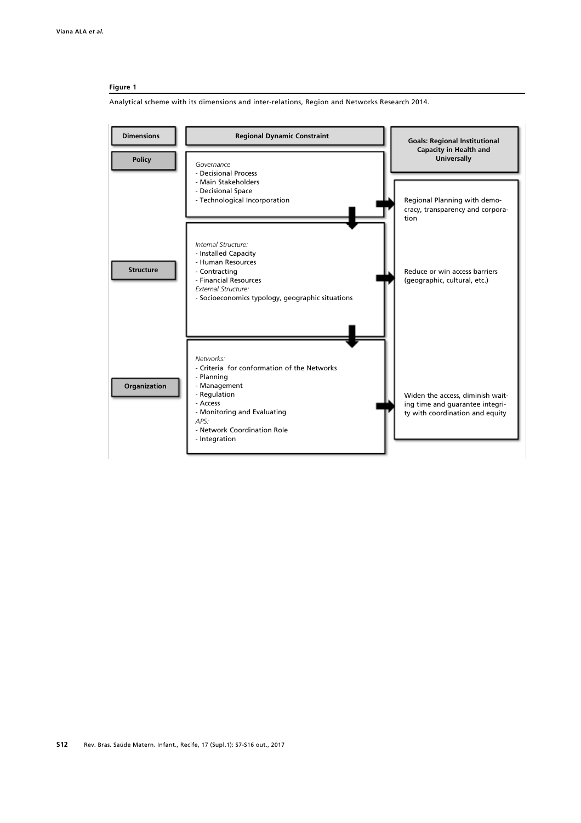#### **Figure 1**

Analytical scheme with its dimensions and inter-relations, Region and Networks Research 2014.

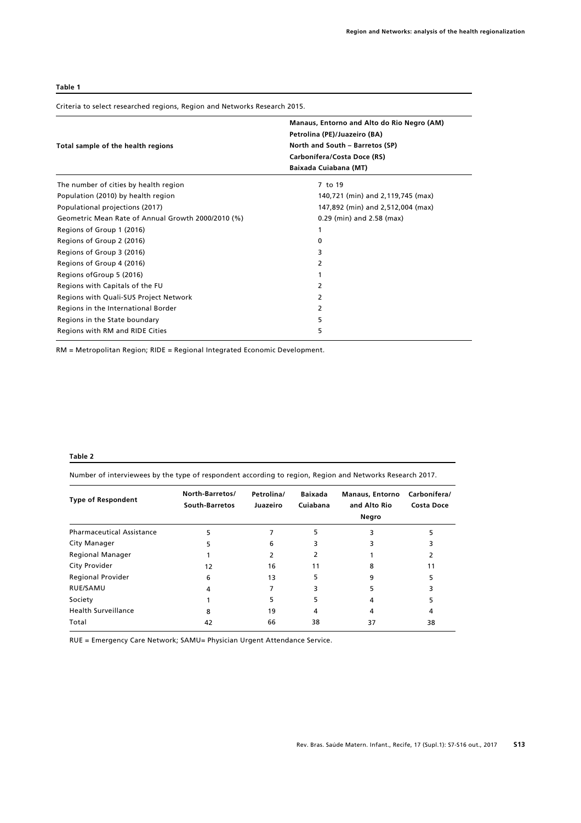#### **Table 1**

Criteria to select researched regions, Region and Networks Research 2015.

|                                                    | Manaus, Entorno and Alto do Rio Negro (AM)<br>Petrolina (PE)/Juazeiro (BA)              |  |  |  |
|----------------------------------------------------|-----------------------------------------------------------------------------------------|--|--|--|
| Total sample of the health regions                 | North and South - Barretos (SP)<br>Carbonífera/Costa Doce (RS)<br>Baixada Cuiabana (MT) |  |  |  |
|                                                    |                                                                                         |  |  |  |
|                                                    |                                                                                         |  |  |  |
| The number of cities by health region              | 7 to 19                                                                                 |  |  |  |
| Population (2010) by health region                 | 140,721 (min) and 2,119,745 (max)                                                       |  |  |  |
| Populational projections (2017)                    | 147,892 (min) and 2,512,004 (max)                                                       |  |  |  |
| Geometric Mean Rate of Annual Growth 2000/2010 (%) | 0.29 (min) and 2.58 (max)                                                               |  |  |  |
| Regions of Group 1 (2016)                          |                                                                                         |  |  |  |
| Regions of Group 2 (2016)                          | 0                                                                                       |  |  |  |
| Regions of Group 3 (2016)                          | 3                                                                                       |  |  |  |
| Regions of Group 4 (2016)                          | 2                                                                                       |  |  |  |
| Regions of Group 5 (2016)                          |                                                                                         |  |  |  |
| Regions with Capitals of the FU                    | 2                                                                                       |  |  |  |
| Regions with Quali-SUS Project Network             | 2                                                                                       |  |  |  |
| Regions in the International Border                | 2                                                                                       |  |  |  |
| Regions in the State boundary                      | 5                                                                                       |  |  |  |
| Regions with RM and RIDE Cities                    | 5                                                                                       |  |  |  |

RM = Metropolitan Region; RIDE = Regional Integrated Economic Development.

### **Table 2**

Number of interviewees by the type of respondent according to region, Region and Networks Research 2017.

| <b>Type of Respondent</b>        | North-Barretos/<br>South-Barretos | Petrolina/<br>Juazeiro | <b>Baixada</b><br>Cuiabana | <b>Manaus, Entorno</b><br>and Alto Rio<br>Negro | Carbonífera/<br>Costa Doce |
|----------------------------------|-----------------------------------|------------------------|----------------------------|-------------------------------------------------|----------------------------|
| <b>Pharmaceutical Assistance</b> | 5                                 |                        | 5                          |                                                 |                            |
| City Manager                     | 5                                 | 6                      | 3                          |                                                 |                            |
| <b>Regional Manager</b>          |                                   |                        |                            |                                                 |                            |
| City Provider                    | 12                                | 16                     | 11                         | 8                                               | 11                         |
| <b>Regional Provider</b>         | 6                                 | 13                     | 5                          | 9                                               |                            |
| RUE/SAMU                         | 4                                 |                        | 3                          | 5                                               |                            |
| Society                          |                                   | 5                      |                            | 4                                               |                            |
| <b>Health Surveillance</b>       | 8                                 | 19                     | 4                          | 4                                               | 4                          |
| Total                            | 42                                | 66                     | 38                         | 37                                              | 38                         |

RUE = Emergency Care Network; SAMU= Physician Urgent Attendance Service.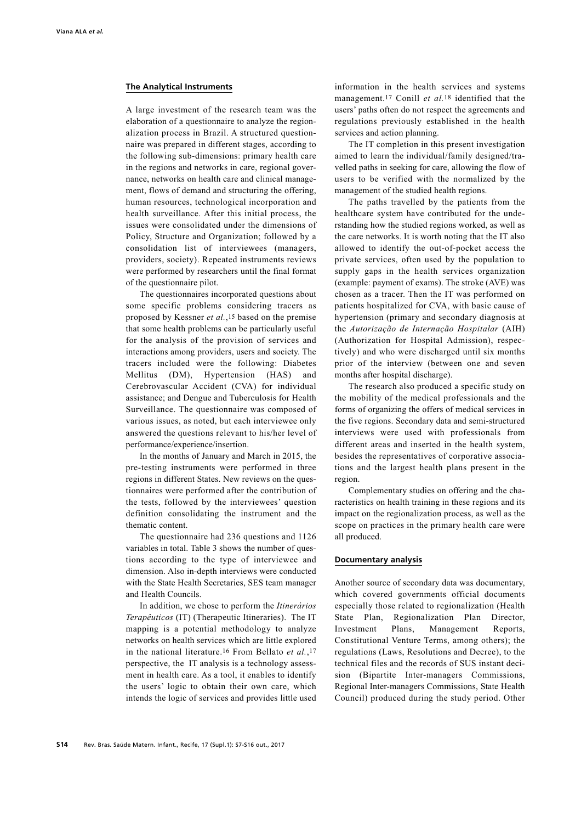#### **The Analytical Instruments**

A large investment of the research team was the elaboration of a questionnaire to analyze the regionalization process in Brazil. A structured questionnaire was prepared in different stages, according to the following sub-dimensions: primary health care in the regions and networks in care, regional governance, networks on health care and clinical management, flows of demand and structuring the offering, human resources, technological incorporation and health surveillance. After this initial process, the issues were consolidated under the dimensions of Policy, Structure and Organization; followed by a consolidation list of interviewees (managers, providers, society). Repeated instruments reviews were performed by researchers until the final format of the questionnaire pilot.

The questionnaires incorporated questions about some specific problems considering tracers as proposed by Kessner *et al.*,15 based on the premise that some health problems can be particularly useful for the analysis of the provision of services and interactions among providers, users and society. The tracers included were the following: Diabetes Mellitus (DM), Hypertension (HAS) and Cerebrovascular Accident (CVA) for individual assistance; and Dengue and Tuberculosis for Health Surveillance. The questionnaire was composed of various issues, as noted, but each interviewee only answered the questions relevant to his/her level of performance/experience/insertion.

In the months of January and March in 2015, the pre-testing instruments were performed in three regions in different States. New reviews on the questionnaires were performed after the contribution of the tests, followed by the interviewees' question definition consolidating the instrument and the thematic content.

The questionnaire had 236 questions and 1126 variables in total. Table 3 shows the number of questions according to the type of interviewee and dimension. Also in-depth interviews were conducted with the State Health Secretaries, SES team manager and Health Councils.

In addition, we chose to perform the *Itinerários Terapêuticos* (IT) (Therapeutic Itineraries). The IT mapping is a potential methodology to analyze networks on health services which are little explored in the national literature.16 From Bellato *et al.*,17 perspective, the IT analysis is a technology assessment in health care. As a tool, it enables to identify the users' logic to obtain their own care, which intends the logic of services and provides little used information in the health services and systems management.17 Conill *et al.*18 identified that the users' paths often do not respect the agreements and regulations previously established in the health services and action planning.

The IT completion in this present investigation aimed to learn the individual/family designed/travelled paths in seeking for care, allowing the flow of users to be verified with the normalized by the management of the studied health regions.

The paths travelled by the patients from the healthcare system have contributed for the understanding how the studied regions worked, as well as the care networks. It is worth noting that the IT also allowed to identify the out-of-pocket access the private services, often used by the population to supply gaps in the health services organization (example: payment of exams). The stroke (AVE) was chosen as a tracer. Then the IT was performed on patients hospitalized for CVA, with basic cause of hypertension (primary and secondary diagnosis at the *Autorização de Internação Hospitalar* (AIH) (Authorization for Hospital Admission), respectively) and who were discharged until six months prior of the interview (between one and seven months after hospital discharge).

The research also produced a specific study on the mobility of the medical professionals and the forms of organizing the offers of medical services in the five regions. Secondary data and semi-structured interviews were used with professionals from different areas and inserted in the health system, besides the representatives of corporative associations and the largest health plans present in the region.

Complementary studies on offering and the characteristics on health training in these regions and its impact on the regionalization process, as well as the scope on practices in the primary health care were all produced.

### **Documentary analysis**

Another source of secondary data was documentary, which covered governments official documents especially those related to regionalization (Health State Plan, Regionalization Plan Director, Investment Plans, Management Reports, Constitutional Venture Terms, among others); the regulations (Laws, Resolutions and Decree), to the technical files and the records of SUS instant decision (Bipartite Inter-managers Commissions, Regional Inter-managers Commissions, State Health Council) produced during the study period. Other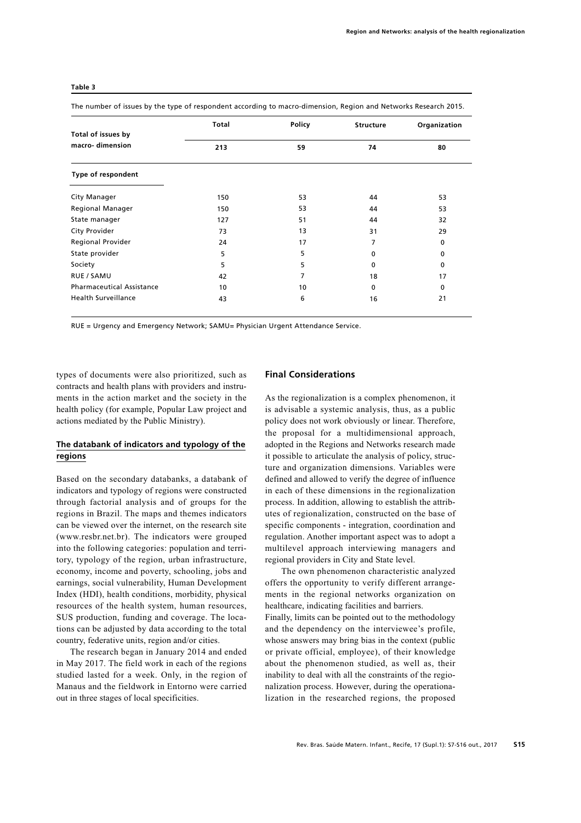|                                       | <b>Total</b> | Policy | <b>Structure</b> | Organization |
|---------------------------------------|--------------|--------|------------------|--------------|
| Total of issues by<br>macro-dimension | 213          | 59     | 74               | 80           |
| Type of respondent                    |              |        |                  |              |
| City Manager                          | 150          | 53     | 44               | 53           |
| <b>Regional Manager</b>               | 150          | 53     | 44               | 53           |
| State manager                         | 127          | 51     | 44               | 32           |
| City Provider                         | 73           | 13     | 31               | 29           |
| <b>Regional Provider</b>              | 24           | 17     | 7                | 0            |
| State provider                        | 5            | 5      | $\Omega$         | 0            |
| Society                               | 5            | 5      | $\Omega$         | 0            |
| <b>RUE / SAMU</b>                     | 42           | 7      | 18               | 17           |
| <b>Pharmaceutical Assistance</b>      | 10           | 10     | $\Omega$         | 0            |
| <b>Health Surveillance</b>            | 43           | 6      | 16               | 21           |

#### **Table 3**

The number of issues by the type of respondent according to macro-dimension, Region and Networks Research 2015.

RUE = Urgency and Emergency Network; SAMU= Physician Urgent Attendance Service.

types of documents were also prioritized, such as contracts and health plans with providers and instruments in the action market and the society in the health policy (for example, Popular Law project and actions mediated by the Public Ministry).

## **The databank of indicators and typology of the regions**

Based on the secondary databanks, a databank of indicators and typology of regions were constructed through factorial analysis and of groups for the regions in Brazil. The maps and themes indicators can be viewed over the internet, on the research site (www.resbr.net.br). The indicators were grouped into the following categories: population and territory, typology of the region, urban infrastructure, economy, income and poverty, schooling, jobs and earnings, social vulnerability, Human Development Index (HDI), health conditions, morbidity, physical resources of the health system, human resources, SUS production, funding and coverage. The locations can be adjusted by data according to the total country, federative units, region and/or cities.

The research began in January 2014 and ended in May 2017. The field work in each of the regions studied lasted for a week. Only, in the region of Manaus and the fieldwork in Entorno were carried out in three stages of local specificities.

### **Final Considerations**

As the regionalization is a complex phenomenon, it is advisable a systemic analysis, thus, as a public policy does not work obviously or linear. Therefore, the proposal for a multidimensional approach, adopted in the Regions and Networks research made it possible to articulate the analysis of policy, structure and organization dimensions. Variables were defined and allowed to verify the degree of influence in each of these dimensions in the regionalization process. In addition, allowing to establish the attributes of regionalization, constructed on the base of specific components - integration, coordination and regulation. Another important aspect was to adopt a multilevel approach interviewing managers and regional providers in City and State level.

The own phenomenon characteristic analyzed offers the opportunity to verify different arrangements in the regional networks organization on healthcare, indicating facilities and barriers.

Finally, limits can be pointed out to the methodology and the dependency on the interviewee's profile, whose answers may bring bias in the context (public or private official, employee), of their knowledge about the phenomenon studied, as well as, their inability to deal with all the constraints of the regionalization process. However, during the operationalization in the researched regions, the proposed